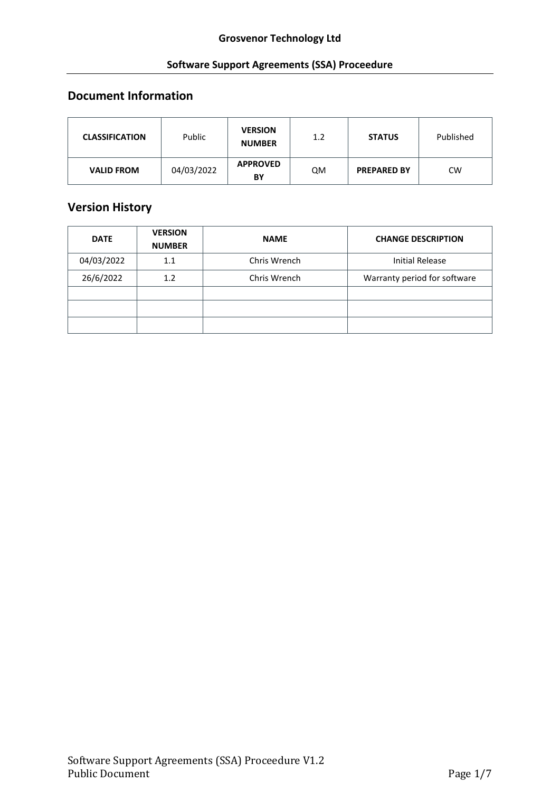# **Document Information**

| <b>CLASSIFICATION</b> | Public     | <b>VERSION</b><br><b>NUMBER</b> | 1.2       | <b>STATUS</b>      | Published |
|-----------------------|------------|---------------------------------|-----------|--------------------|-----------|
| <b>VALID FROM</b>     | 04/03/2022 | <b>APPROVED</b><br>BY           | <b>QM</b> | <b>PREPARED BY</b> | <b>CW</b> |

# **Version History**

| <b>DATE</b> | <b>VERSION</b><br><b>NUMBER</b> | <b>NAME</b>  | <b>CHANGE DESCRIPTION</b>    |
|-------------|---------------------------------|--------------|------------------------------|
| 04/03/2022  | 1.1                             | Chris Wrench | <b>Initial Release</b>       |
| 26/6/2022   | 1.2                             | Chris Wrench | Warranty period for software |
|             |                                 |              |                              |
|             |                                 |              |                              |
|             |                                 |              |                              |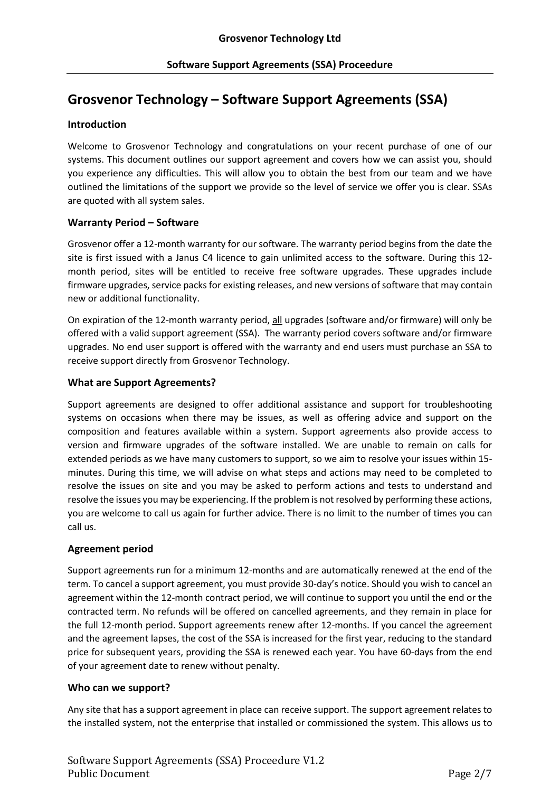# **Grosvenor Technology – Software Support Agreements (SSA)**

## **Introduction**

Welcome to Grosvenor Technology and congratulations on your recent purchase of one of our systems. This document outlines our support agreement and covers how we can assist you, should you experience any difficulties. This will allow you to obtain the best from our team and we have outlined the limitations of the support we provide so the level of service we offer you is clear. SSAs are quoted with all system sales.

## **Warranty Period – Software**

Grosvenor offer a 12-month warranty for our software. The warranty period begins from the date the site is first issued with a Janus C4 licence to gain unlimited access to the software. During this 12 month period, sites will be entitled to receive free software upgrades. These upgrades include firmware upgrades, service packs for existing releases, and new versions of software that may contain new or additional functionality.

On expiration of the 12-month warranty period, all upgrades (software and/or firmware) will only be offered with a valid support agreement (SSA). The warranty period covers software and/or firmware upgrades. No end user support is offered with the warranty and end users must purchase an SSA to receive support directly from Grosvenor Technology.

## **What are Support Agreements?**

Support agreements are designed to offer additional assistance and support for troubleshooting systems on occasions when there may be issues, as well as offering advice and support on the composition and features available within a system. Support agreements also provide access to version and firmware upgrades of the software installed. We are unable to remain on calls for extended periods as we have many customers to support, so we aim to resolve your issues within 15 minutes. During this time, we will advise on what steps and actions may need to be completed to resolve the issues on site and you may be asked to perform actions and tests to understand and resolve the issues you may be experiencing. If the problem is not resolved by performing these actions, you are welcome to call us again for further advice. There is no limit to the number of times you can call us.

### **Agreement period**

Support agreements run for a minimum 12-months and are automatically renewed at the end of the term. To cancel a support agreement, you must provide 30-day's notice. Should you wish to cancel an agreement within the 12-month contract period, we will continue to support you until the end or the contracted term. No refunds will be offered on cancelled agreements, and they remain in place for the full 12-month period. Support agreements renew after 12-months. If you cancel the agreement and the agreement lapses, the cost of the SSA is increased for the first year, reducing to the standard price for subsequent years, providing the SSA is renewed each year. You have 60-days from the end of your agreement date to renew without penalty.

### **Who can we support?**

Any site that has a support agreement in place can receive support. The support agreement relates to the installed system, not the enterprise that installed or commissioned the system. This allows us to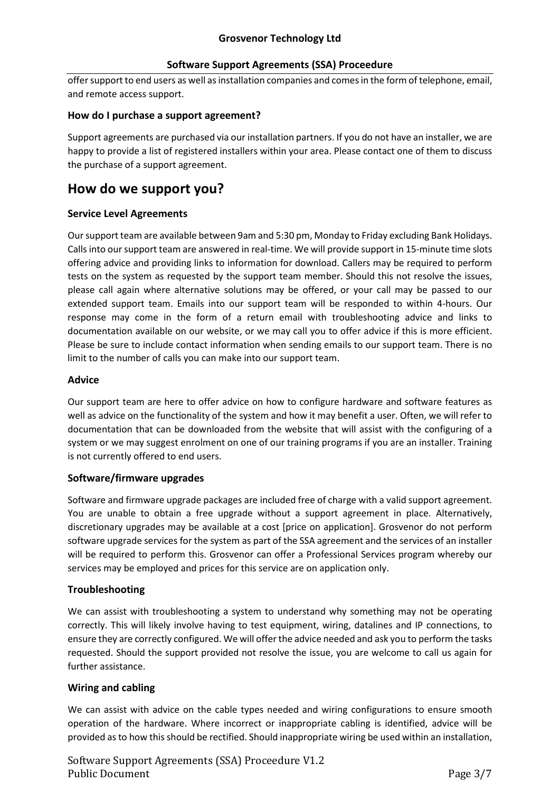offer support to end users as well as installation companies and comes in the form of telephone, email, and remote access support.

## **How do I purchase a support agreement?**

Support agreements are purchased via our installation partners. If you do not have an installer, we are happy to provide a list of registered installers within your area. Please contact one of them to discuss the purchase of a support agreement.

# **How do we support you?**

## **Service Level Agreements**

Our support team are available between 9am and 5:30 pm, Monday to Friday excluding Bank Holidays. Calls into our support team are answered in real-time. We will provide support in 15-minute time slots offering advice and providing links to information for download. Callers may be required to perform tests on the system as requested by the support team member. Should this not resolve the issues, please call again where alternative solutions may be offered, or your call may be passed to our extended support team. Emails into our support team will be responded to within 4-hours. Our response may come in the form of a return email with troubleshooting advice and links to documentation available on our website, or we may call you to offer advice if this is more efficient. Please be sure to include contact information when sending emails to our support team. There is no limit to the number of calls you can make into our support team.

## **Advice**

Our support team are here to offer advice on how to configure hardware and software features as well as advice on the functionality of the system and how it may benefit a user. Often, we will refer to documentation that can be downloaded from the website that will assist with the configuring of a system or we may suggest enrolment on one of our training programs if you are an installer. Training is not currently offered to end users.

## **Software/firmware upgrades**

Software and firmware upgrade packages are included free of charge with a valid support agreement. You are unable to obtain a free upgrade without a support agreement in place. Alternatively, discretionary upgrades may be available at a cost [price on application]. Grosvenor do not perform software upgrade services for the system as part of the SSA agreement and the services of an installer will be required to perform this. Grosvenor can offer a Professional Services program whereby our services may be employed and prices for this service are on application only.

## **Troubleshooting**

We can assist with troubleshooting a system to understand why something may not be operating correctly. This will likely involve having to test equipment, wiring, datalines and IP connections, to ensure they are correctly configured. We will offer the advice needed and ask you to perform the tasks requested. Should the support provided not resolve the issue, you are welcome to call us again for further assistance.

## **Wiring and cabling**

We can assist with advice on the cable types needed and wiring configurations to ensure smooth operation of the hardware. Where incorrect or inappropriate cabling is identified, advice will be provided as to how this should be rectified. Should inappropriate wiring be used within an installation,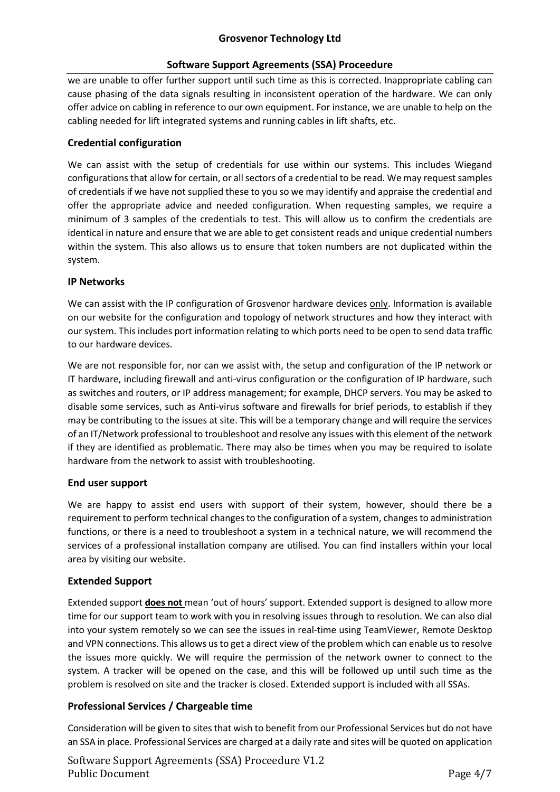we are unable to offer further support until such time as this is corrected. Inappropriate cabling can cause phasing of the data signals resulting in inconsistent operation of the hardware. We can only offer advice on cabling in reference to our own equipment. For instance, we are unable to help on the cabling needed for lift integrated systems and running cables in lift shafts, etc.

## **Credential configuration**

We can assist with the setup of credentials for use within our systems. This includes Wiegand configurations that allow for certain, or all sectors of a credential to be read. We may request samples of credentials if we have not supplied these to you so we may identify and appraise the credential and offer the appropriate advice and needed configuration. When requesting samples, we require a minimum of 3 samples of the credentials to test. This will allow us to confirm the credentials are identical in nature and ensure that we are able to get consistent reads and unique credential numbers within the system. This also allows us to ensure that token numbers are not duplicated within the system.

## **IP Networks**

We can assist with the IP configuration of Grosvenor hardware devices only. Information is available on our website for the configuration and topology of network structures and how they interact with our system. This includes port information relating to which ports need to be open to send data traffic to our hardware devices.

We are not responsible for, nor can we assist with, the setup and configuration of the IP network or IT hardware, including firewall and anti-virus configuration or the configuration of IP hardware, such as switches and routers, or IP address management; for example, DHCP servers. You may be asked to disable some services, such as Anti-virus software and firewalls for brief periods, to establish if they may be contributing to the issues at site. This will be a temporary change and will require the services of an IT/Network professional to troubleshoot and resolve any issues with this element of the network if they are identified as problematic. There may also be times when you may be required to isolate hardware from the network to assist with troubleshooting.

### **End user support**

We are happy to assist end users with support of their system, however, should there be a requirement to perform technical changes to the configuration of a system, changes to administration functions, or there is a need to troubleshoot a system in a technical nature, we will recommend the services of a professional installation company are utilised. You can find installers within your local area by visiting our website.

## **Extended Support**

Extended support **does not** mean 'out of hours' support. Extended support is designed to allow more time for our support team to work with you in resolving issues through to resolution. We can also dial into your system remotely so we can see the issues in real-time using TeamViewer, Remote Desktop and VPN connections. This allows us to get a direct view of the problem which can enable us to resolve the issues more quickly. We will require the permission of the network owner to connect to the system. A tracker will be opened on the case, and this will be followed up until such time as the problem is resolved on site and the tracker is closed. Extended support is included with all SSAs.

## **Professional Services / Chargeable time**

Consideration will be given to sites that wish to benefit from our Professional Services but do not have an SSA in place. Professional Services are charged at a daily rate and sites will be quoted on application

Software Support Agreements (SSA) Proceedure V1.2 Public Document **Page 4/7**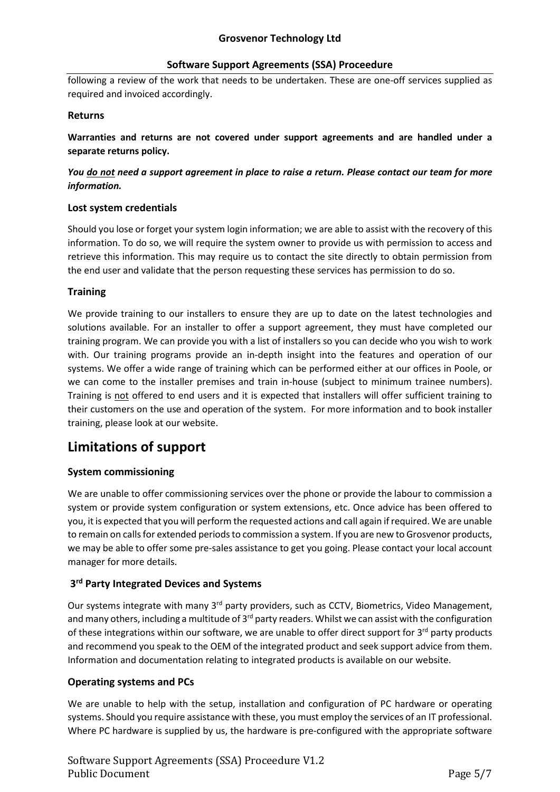following a review of the work that needs to be undertaken. These are one-off services supplied as required and invoiced accordingly.

#### **Returns**

**Warranties and returns are not covered under support agreements and are handled under a separate returns policy.** 

### *You do not need a support agreement in place to raise a return. Please contact our team for more information.*

### **Lost system credentials**

Should you lose or forget your system login information; we are able to assist with the recovery of this information. To do so, we will require the system owner to provide us with permission to access and retrieve this information. This may require us to contact the site directly to obtain permission from the end user and validate that the person requesting these services has permission to do so.

### **Training**

We provide training to our installers to ensure they are up to date on the latest technologies and solutions available. For an installer to offer a support agreement, they must have completed our training program. We can provide you with a list of installers so you can decide who you wish to work with. Our training programs provide an in-depth insight into the features and operation of our systems. We offer a wide range of training which can be performed either at our offices in Poole, or we can come to the installer premises and train in-house (subject to minimum trainee numbers). Training is not offered to end users and it is expected that installers will offer sufficient training to their customers on the use and operation of the system. For more information and to book installer training, please look at our website.

# **Limitations of support**

### **System commissioning**

We are unable to offer commissioning services over the phone or provide the labour to commission a system or provide system configuration or system extensions, etc. Once advice has been offered to you, it is expected that you will perform the requested actions and call again if required. We are unable to remain on calls for extended periods to commission a system. If you are new to Grosvenor products, we may be able to offer some pre-sales assistance to get you going. Please contact your local account manager for more details.

### **3rd Party Integrated Devices and Systems**

Our systems integrate with many 3<sup>rd</sup> party providers, such as CCTV, Biometrics, Video Management, and many others, including a multitude of 3<sup>rd</sup> party readers. Whilst we can assist with the configuration of these integrations within our software, we are unable to offer direct support for  $3<sup>rd</sup>$  party products and recommend you speak to the OEM of the integrated product and seek support advice from them. Information and documentation relating to integrated products is available on our website.

### **Operating systems and PCs**

We are unable to help with the setup, installation and configuration of PC hardware or operating systems. Should you require assistance with these, you must employ the services of an IT professional. Where PC hardware is supplied by us, the hardware is pre-configured with the appropriate software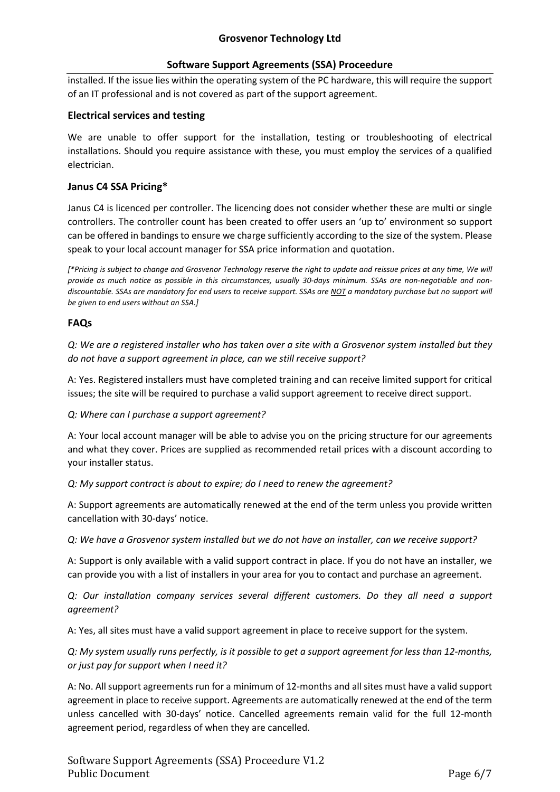## **Grosvenor Technology Ltd**

### **Software Support Agreements (SSA) Proceedure**

installed. If the issue lies within the operating system of the PC hardware, this will require the support of an IT professional and is not covered as part of the support agreement.

#### **Electrical services and testing**

We are unable to offer support for the installation, testing or troubleshooting of electrical installations. Should you require assistance with these, you must employ the services of a qualified electrician.

#### **Janus C4 SSA Pricing\***

Janus C4 is licenced per controller. The licencing does not consider whether these are multi or single controllers. The controller count has been created to offer users an 'up to' environment so support can be offered in bandings to ensure we charge sufficiently according to the size of the system. Please speak to your local account manager for SSA price information and quotation.

*[\*Pricing is subject to change and Grosvenor Technology reserve the right to update and reissue prices at any time, We will provide as much notice as possible in this circumstances, usually 30-days minimum. SSAs are non-negotiable and nondiscountable. SSAs are mandatory for end users to receive support. SSAs are NOT a mandatory purchase but no support will be given to end users without an SSA.]*

#### **FAQs**

*Q: We are a registered installer who has taken over a site with a Grosvenor system installed but they do not have a support agreement in place, can we still receive support?*

A: Yes. Registered installers must have completed training and can receive limited support for critical issues; the site will be required to purchase a valid support agreement to receive direct support.

#### *Q: Where can I purchase a support agreement?*

A: Your local account manager will be able to advise you on the pricing structure for our agreements and what they cover. Prices are supplied as recommended retail prices with a discount according to your installer status.

*Q: My support contract is about to expire; do I need to renew the agreement?*

A: Support agreements are automatically renewed at the end of the term unless you provide written cancellation with 30-days' notice.

*Q: We have a Grosvenor system installed but we do not have an installer, can we receive support?*

A: Support is only available with a valid support contract in place. If you do not have an installer, we can provide you with a list of installers in your area for you to contact and purchase an agreement.

*Q: Our installation company services several different customers. Do they all need a support agreement?*

A: Yes, all sites must have a valid support agreement in place to receive support for the system.

*Q: My system usually runs perfectly, is it possible to get a support agreement for less than 12-months, or just pay for support when I need it?*

A: No. All support agreements run for a minimum of 12-months and all sites must have a valid support agreement in place to receive support. Agreements are automatically renewed at the end of the term unless cancelled with 30-days' notice. Cancelled agreements remain valid for the full 12-month agreement period, regardless of when they are cancelled.